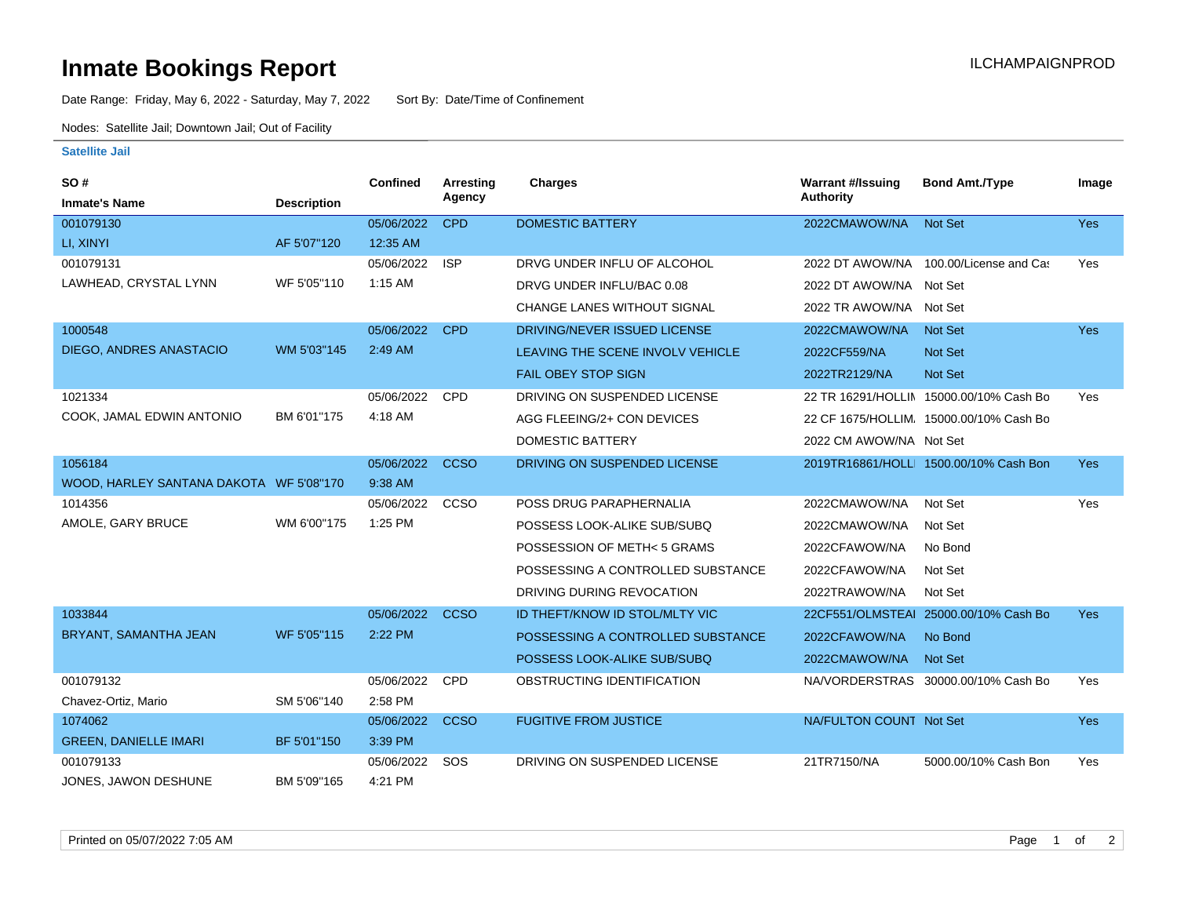## **Inmate Bookings Report International Contract Contract Contract Contract Contract Contract Contract Contract Contract Contract Contract Contract Contract Contract Contract Contract Contract Contract Contract Contract Co**

Date Range: Friday, May 6, 2022 - Saturday, May 7, 2022 Sort By: Date/Time of Confinement

Nodes: Satellite Jail; Downtown Jail; Out of Facility

## **Satellite Jail**

| SO#                                     |                    | <b>Confined</b> | <b>Arresting</b> | Charges                           | <b>Warrant #/Issuing</b> | <b>Bond Amt./Type</b>                   | Image      |
|-----------------------------------------|--------------------|-----------------|------------------|-----------------------------------|--------------------------|-----------------------------------------|------------|
| <b>Inmate's Name</b>                    | <b>Description</b> |                 | Agency           |                                   | <b>Authority</b>         |                                         |            |
| 001079130                               |                    | 05/06/2022      | <b>CPD</b>       | <b>DOMESTIC BATTERY</b>           | 2022CMAWOW/NA            | <b>Not Set</b>                          | <b>Yes</b> |
| LI, XINYI                               | AF 5'07"120        | 12:35 AM        |                  |                                   |                          |                                         |            |
| 001079131                               |                    | 05/06/2022      | <b>ISP</b>       | DRVG UNDER INFLU OF ALCOHOL       |                          | 2022 DT AWOW/NA 100.00/License and Cas  | Yes        |
| LAWHEAD, CRYSTAL LYNN                   | WF 5'05"110        | $1:15$ AM       |                  | DRVG UNDER INFLU/BAC 0.08         | 2022 DT AWOW/NA Not Set  |                                         |            |
|                                         |                    |                 |                  | CHANGE LANES WITHOUT SIGNAL       | 2022 TR AWOW/NA Not Set  |                                         |            |
| 1000548                                 |                    | 05/06/2022      | <b>CPD</b>       | DRIVING/NEVER ISSUED LICENSE      | 2022CMAWOW/NA            | <b>Not Set</b>                          | <b>Yes</b> |
| <b>DIEGO, ANDRES ANASTACIO</b>          | WM 5'03"145        | 2:49 AM         |                  | LEAVING THE SCENE INVOLV VEHICLE  | 2022CF559/NA             | <b>Not Set</b>                          |            |
|                                         |                    |                 |                  | <b>FAIL OBEY STOP SIGN</b>        | 2022TR2129/NA            | Not Set                                 |            |
| 1021334                                 |                    | 05/06/2022      | <b>CPD</b>       | DRIVING ON SUSPENDED LICENSE      |                          | 22 TR 16291/HOLLIN 15000.00/10% Cash Bo | Yes        |
| COOK, JAMAL EDWIN ANTONIO               | BM 6'01"175        | 4:18 AM         |                  | AGG FLEEING/2+ CON DEVICES        |                          | 22 CF 1675/HOLLIM, 15000.00/10% Cash Bo |            |
|                                         |                    |                 |                  | <b>DOMESTIC BATTERY</b>           | 2022 CM AWOW/NA Not Set  |                                         |            |
| 1056184                                 |                    | 05/06/2022      | <b>CCSO</b>      | DRIVING ON SUSPENDED LICENSE      |                          | 2019TR16861/HOLL 1500.00/10% Cash Bon   | <b>Yes</b> |
| WOOD, HARLEY SANTANA DAKOTA WF 5'08"170 |                    | 9:38 AM         |                  |                                   |                          |                                         |            |
| 1014356                                 |                    | 05/06/2022      | <b>CCSO</b>      | POSS DRUG PARAPHERNALIA           | 2022CMAWOW/NA            | Not Set                                 | Yes        |
| AMOLE, GARY BRUCE                       | WM 6'00"175        | 1:25 PM         |                  | POSSESS LOOK-ALIKE SUB/SUBQ       | 2022CMAWOW/NA            | Not Set                                 |            |
|                                         |                    |                 |                  | POSSESSION OF METH<5 GRAMS        | 2022CFAWOW/NA            | No Bond                                 |            |
|                                         |                    |                 |                  | POSSESSING A CONTROLLED SUBSTANCE | 2022CFAWOW/NA            | Not Set                                 |            |
|                                         |                    |                 |                  | DRIVING DURING REVOCATION         | 2022TRAWOW/NA            | Not Set                                 |            |
| 1033844                                 |                    | 05/06/2022      | <b>CCSO</b>      | ID THEFT/KNOW ID STOL/MLTY VIC    |                          | 22CF551/OLMSTEAI 25000.00/10% Cash Bo   | <b>Yes</b> |
| BRYANT, SAMANTHA JEAN                   | WF 5'05"115        | 2:22 PM         |                  | POSSESSING A CONTROLLED SUBSTANCE | 2022CFAWOW/NA            | No Bond                                 |            |
|                                         |                    |                 |                  | POSSESS LOOK-ALIKE SUB/SUBQ       | 2022CMAWOW/NA            | <b>Not Set</b>                          |            |
| 001079132                               |                    | 05/06/2022      | <b>CPD</b>       | OBSTRUCTING IDENTIFICATION        |                          | NA/VORDERSTRAS 30000.00/10% Cash Bo     | Yes        |
| Chavez-Ortiz, Mario                     | SM 5'06"140        | 2:58 PM         |                  |                                   |                          |                                         |            |
| 1074062                                 |                    | 05/06/2022      | <b>CCSO</b>      | <b>FUGITIVE FROM JUSTICE</b>      | NA/FULTON COUNT Not Set  |                                         | Yes        |
| <b>GREEN, DANIELLE IMARI</b>            | BF 5'01"150        | 3:39 PM         |                  |                                   |                          |                                         |            |
| 001079133                               |                    | 05/06/2022      | SOS              | DRIVING ON SUSPENDED LICENSE      | 21TR7150/NA              | 5000.00/10% Cash Bon                    | Yes        |
| JONES, JAWON DESHUNE                    | BM 5'09"165        | 4:21 PM         |                  |                                   |                          |                                         |            |